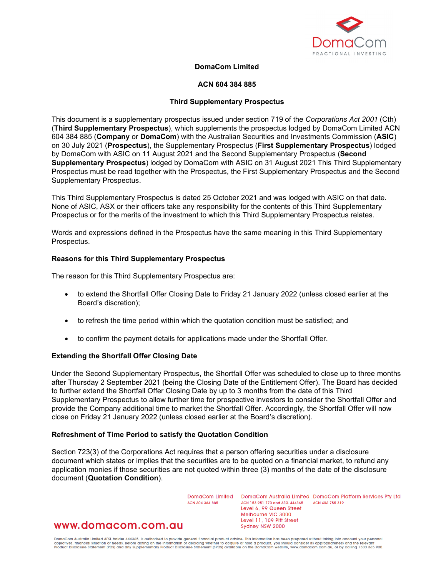

## **DomaCom Limited**

### **ACN 604 384 885**

### **Third Supplementary Prospectus**

This document is a supplementary prospectus issued under section 719 of the *Corporations Act 2001* (Cth) (**Third Supplementary Prospectus**), which supplements the prospectus lodged by DomaCom Limited ACN 604 384 885 (**Company** or **DomaCom**) with the Australian Securities and Investments Commission (**ASIC**) on 30 July 2021 (**Prospectus**), the Supplementary Prospectus (**First Supplementary Prospectus**) lodged by DomaCom with ASIC on 11 August 2021 and the Second Supplementary Prospectus (**Second Supplementary Prospectus**) lodged by DomaCom with ASIC on 31 August 2021 This Third Supplementary Prospectus must be read together with the Prospectus, the First Supplementary Prospectus and the Second Supplementary Prospectus.

This Third Supplementary Prospectus is dated 25 October 2021 and was lodged with ASIC on that date. None of ASIC, ASX or their officers take any responsibility for the contents of this Third Supplementary Prospectus or for the merits of the investment to which this Third Supplementary Prospectus relates.

Words and expressions defined in the Prospectus have the same meaning in this Third Supplementary Prospectus.

#### **Reasons for this Third Supplementary Prospectus**

The reason for this Third Supplementary Prospectus are:

- to extend the Shortfall Offer Closing Date to Friday 21 January 2022 (unless closed earlier at the Board's discretion);
- to refresh the time period within which the quotation condition must be satisfied; and
- to confirm the payment details for applications made under the Shortfall Offer.

### **Extending the Shortfall Offer Closing Date**

Under the Second Supplementary Prospectus, the Shortfall Offer was scheduled to close up to three months after Thursday 2 September 2021 (being the Closing Date of the Entitlement Offer). The Board has decided to further extend the Shortfall Offer Closing Date by up to 3 months from the date of this Third Supplementary Prospectus to allow further time for prospective investors to consider the Shortfall Offer and provide the Company additional time to market the Shortfall Offer. Accordingly, the Shortfall Offer will now close on Friday 21 January 2022 (unless closed earlier at the Board's discretion).

### **Refreshment of Time Period to satisfy the Quotation Condition**

Section 723(3) of the Corporations Act requires that a person offering securities under a disclosure document which states or implies that the securities are to be quoted on a financial market, to refund any application monies if those securities are not quoted within three (3) months of the date of the disclosure document (**Quotation Condition**).

ACN 604 384 885

DomaCom Limited DomaCom Australia Limited DomaCom Platform Services Pty Ltd ACN 153 951 770 and AFSL 444365 **ACN 606 755 310** Level 6, 99 Queen Street Melbourne VIC 3000 Level 11, 109 Pitt Street Sydney NSW 2000

# www.domacom.com.au

DomaCom Australia Limited AFSL holder 444365, is authorised to provide general financial product advice. This information has been prepared without taking into account your personal<br>objectives, financial situation or needs